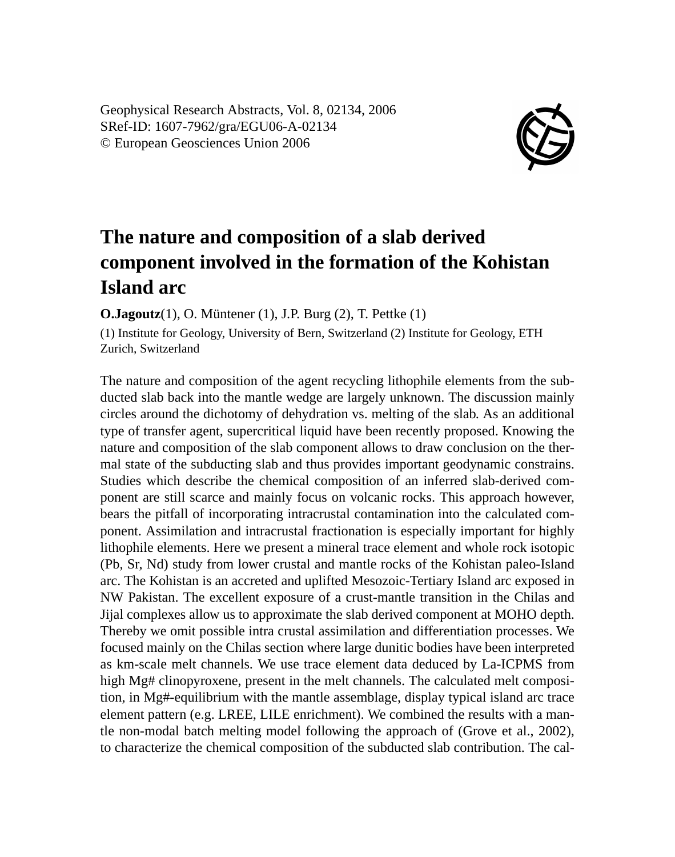Geophysical Research Abstracts, Vol. 8, 02134, 2006 SRef-ID: 1607-7962/gra/EGU06-A-02134 © European Geosciences Union 2006



## **The nature and composition of a slab derived component involved in the formation of the Kohistan Island arc**

**O.Jagoutz**(1), O. Müntener (1), J.P. Burg (2), T. Pettke (1)

(1) Institute for Geology, University of Bern, Switzerland (2) Institute for Geology, ETH Zurich, Switzerland

The nature and composition of the agent recycling lithophile elements from the subducted slab back into the mantle wedge are largely unknown. The discussion mainly circles around the dichotomy of dehydration vs. melting of the slab. As an additional type of transfer agent, supercritical liquid have been recently proposed. Knowing the nature and composition of the slab component allows to draw conclusion on the thermal state of the subducting slab and thus provides important geodynamic constrains. Studies which describe the chemical composition of an inferred slab-derived component are still scarce and mainly focus on volcanic rocks. This approach however, bears the pitfall of incorporating intracrustal contamination into the calculated component. Assimilation and intracrustal fractionation is especially important for highly lithophile elements. Here we present a mineral trace element and whole rock isotopic (Pb, Sr, Nd) study from lower crustal and mantle rocks of the Kohistan paleo-Island arc. The Kohistan is an accreted and uplifted Mesozoic-Tertiary Island arc exposed in NW Pakistan. The excellent exposure of a crust-mantle transition in the Chilas and Jijal complexes allow us to approximate the slab derived component at MOHO depth. Thereby we omit possible intra crustal assimilation and differentiation processes. We focused mainly on the Chilas section where large dunitic bodies have been interpreted as km-scale melt channels. We use trace element data deduced by La-ICPMS from high Mg# clinopyroxene, present in the melt channels. The calculated melt composition, in Mg#-equilibrium with the mantle assemblage, display typical island arc trace element pattern (e.g. LREE, LILE enrichment). We combined the results with a mantle non-modal batch melting model following the approach of (Grove et al., 2002), to characterize the chemical composition of the subducted slab contribution. The cal